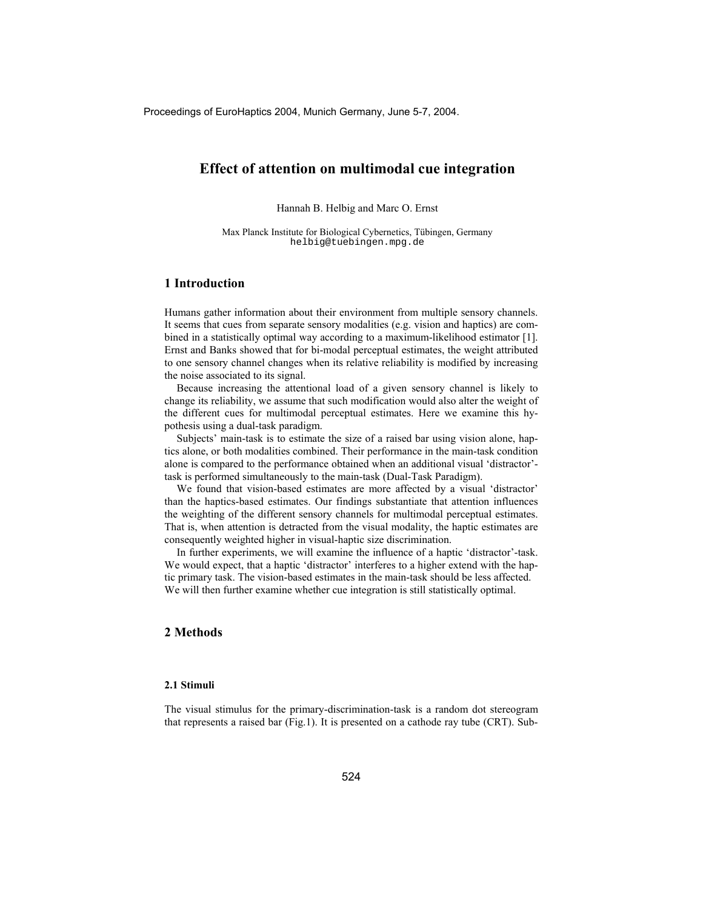# **Effect of attention on multimodal cue integration**

Hannah B. Helbig and Marc O. Ernst

Max Planck Institute for Biological Cybernetics, Tübingen, Germany helbig@tuebingen.mpg.de

### **1 Introduction**

Humans gather information about their environment from multiple sensory channels. It seems that cues from separate sensory modalities (e.g. vision and haptics) are combined in a statistically optimal way according to a maximum-likelihood estimator [1]. Ernst and Banks showed that for bi-modal perceptual estimates, the weight attributed to one sensory channel changes when its relative reliability is modified by increasing the noise associated to its signal.

Because increasing the attentional load of a given sensory channel is likely to change its reliability, we assume that such modification would also alter the weight of the different cues for multimodal perceptual estimates. Here we examine this hypothesis using a dual-task paradigm.

Subjects' main-task is to estimate the size of a raised bar using vision alone, haptics alone, or both modalities combined. Their performance in the main-task condition alone is compared to the performance obtained when an additional visual 'distractor' task is performed simultaneously to the main-task (Dual-Task Paradigm).

We found that vision-based estimates are more affected by a visual 'distractor' than the haptics-based estimates. Our findings substantiate that attention influences the weighting of the different sensory channels for multimodal perceptual estimates. That is, when attention is detracted from the visual modality, the haptic estimates are consequently weighted higher in visual-haptic size discrimination.

In further experiments, we will examine the influence of a haptic 'distractor'-task. We would expect, that a haptic 'distractor' interferes to a higher extend with the haptic primary task. The vision-based estimates in the main-task should be less affected. We will then further examine whether cue integration is still statistically optimal.

### **2 Methods**

#### **2.1 Stimuli**

The visual stimulus for the primary-discrimination-task is a random dot stereogram that represents a raised bar (Fig.1). It is presented on a cathode ray tube (CRT). Sub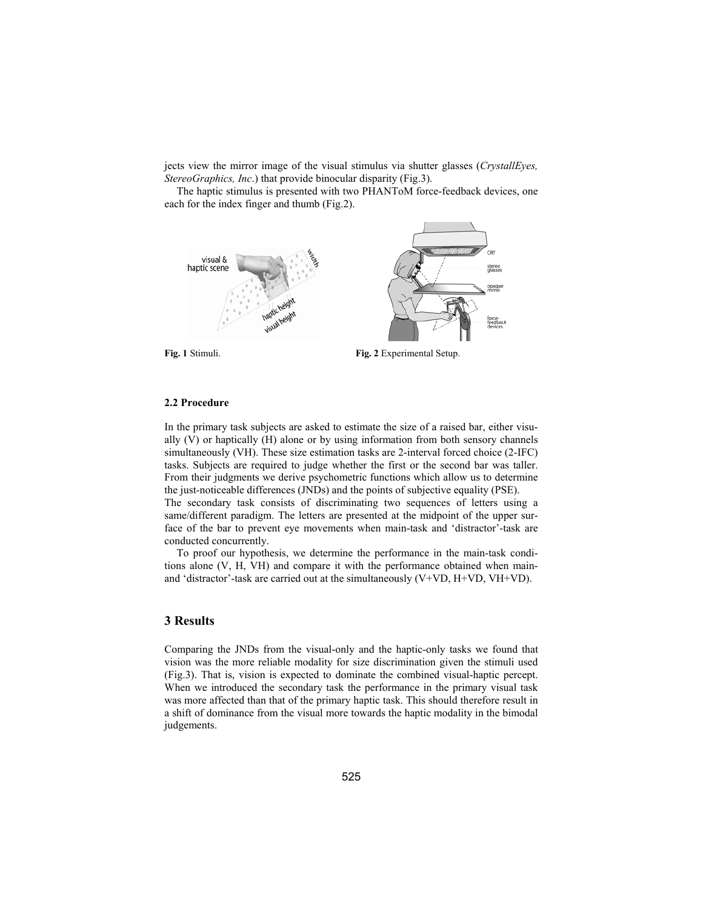jects view the mirror image of the visual stimulus via shutter glasses (*CrystallEyes, StereoGraphics, Inc*.) that provide binocular disparity (Fig.3).

The haptic stimulus is presented with two PHANToM force-feedback devices, one each for the index finger and thumb (Fig.2).



**Fig. 1** Stimuli. **Fig. 2** Experimental Setup.

### **2.2 Procedure**

In the primary task subjects are asked to estimate the size of a raised bar, either visually (V) or haptically (H) alone or by using information from both sensory channels simultaneously (VH). These size estimation tasks are 2-interval forced choice (2-IFC) tasks. Subjects are required to judge whether the first or the second bar was taller. From their judgments we derive psychometric functions which allow us to determine the just-noticeable differences (JNDs) and the points of subjective equality (PSE). The secondary task consists of discriminating two sequences of letters using a same/different paradigm. The letters are presented at the midpoint of the upper surface of the bar to prevent eye movements when main-task and 'distractor'-task are conducted concurrently.

To proof our hypothesis, we determine the performance in the main-task conditions alone (V, H, VH) and compare it with the performance obtained when mainand 'distractor'-task are carried out at the simultaneously  $(V+VD, H+VD, VH+VD)$ .

### **3 Results**

Comparing the JNDs from the visual-only and the haptic-only tasks we found that vision was the more reliable modality for size discrimination given the stimuli used (Fig.3). That is, vision is expected to dominate the combined visual-haptic percept. When we introduced the secondary task the performance in the primary visual task was more affected than that of the primary haptic task. This should therefore result in a shift of dominance from the visual more towards the haptic modality in the bimodal judgements.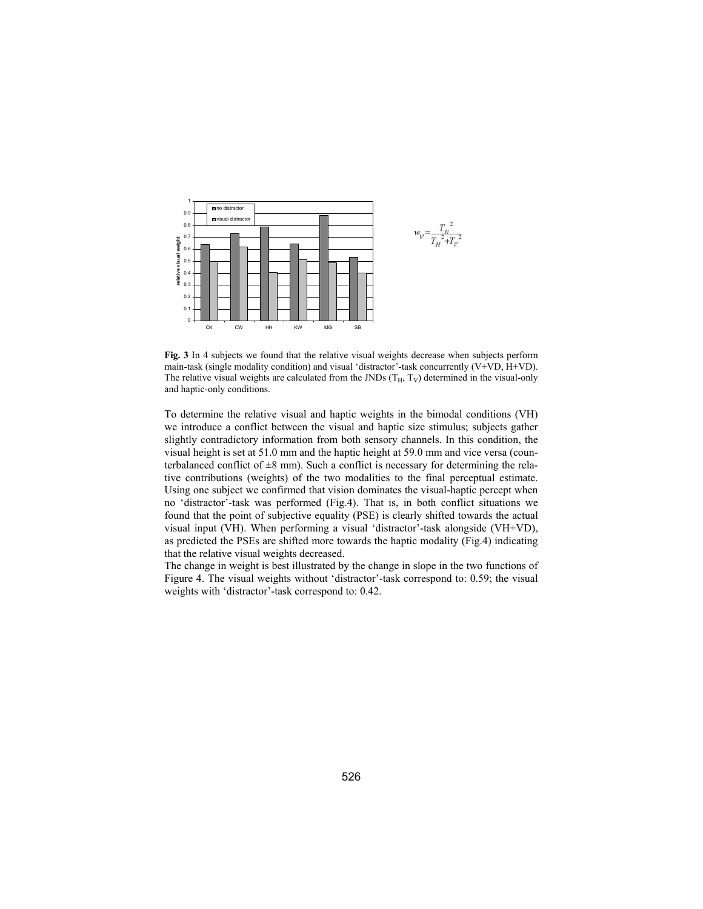

**Fig. 3** In 4 subjects we found that the relative visual weights decrease when subjects perform main-task (single modality condition) and visual 'distractor'-task concurrently (V+VD, H+VD). The relative visual weights are calculated from the JNDs  $(T_H, T_V)$  determined in the visual-only and haptic-only conditions.

To determine the relative visual and haptic weights in the bimodal conditions (VH) we introduce a conflict between the visual and haptic size stimulus; subjects gather slightly contradictory information from both sensory channels. In this condition, the visual height is set at 51.0 mm and the haptic height at 59.0 mm and vice versa (counterbalanced conflict of  $\pm 8$  mm). Such a conflict is necessary for determining the relative contributions (weights) of the two modalities to the final perceptual estimate. Using one subject we confirmed that vision dominates the visual-haptic percept when no 'distractor'-task was performed (Fig.4). That is, in both conflict situations we found that the point of subjective equality (PSE) is clearly shifted towards the actual visual input (VH). When performing a visual 'distractor'-task alongside (VH+VD), as predicted the PSEs are shifted more towards the haptic modality (Fig.4) indicating that the relative visual weights decreased.

The change in weight is best illustrated by the change in slope in the two functions of Figure 4. The visual weights without 'distractor'-task correspond to: 0.59; the visual weights with 'distractor'-task correspond to: 0.42.